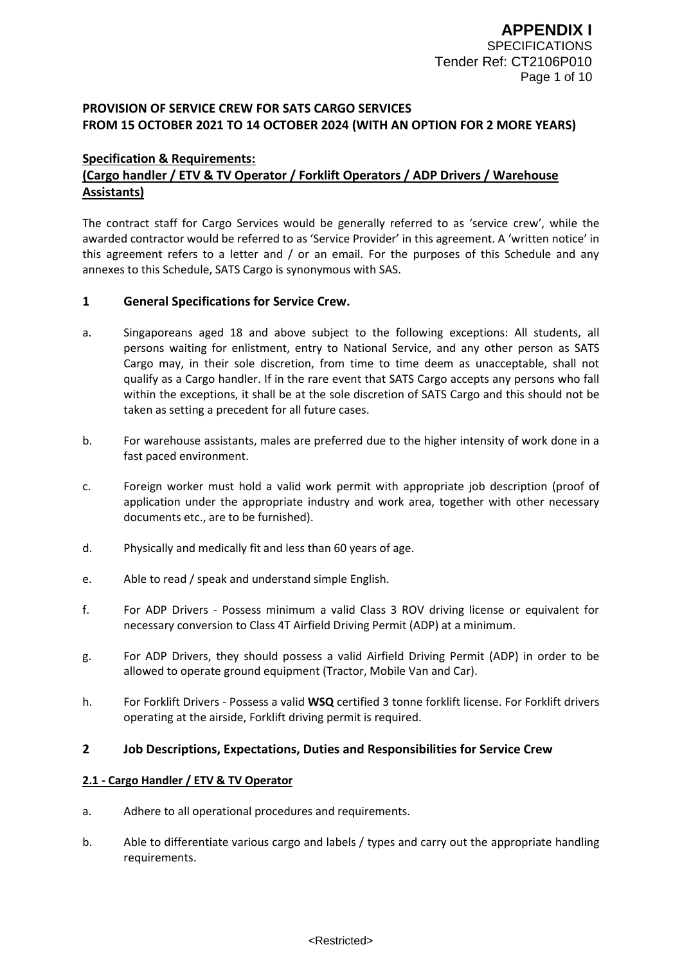## **PROVISION OF SERVICE CREW FOR SATS CARGO SERVICES FROM 15 OCTOBER 2021 TO 14 OCTOBER 2024 (WITH AN OPTION FOR 2 MORE YEARS)**

## **Specification & Requirements: (Cargo handler / ETV & TV Operator / Forklift Operators / ADP Drivers / Warehouse Assistants)**

The contract staff for Cargo Services would be generally referred to as 'service crew', while the awarded contractor would be referred to as 'Service Provider' in this agreement. A 'written notice' in this agreement refers to a letter and / or an email. For the purposes of this Schedule and any annexes to this Schedule, SATS Cargo is synonymous with SAS.

## **1 General Specifications for Service Crew.**

- a. Singaporeans aged 18 and above subject to the following exceptions: All students, all persons waiting for enlistment, entry to National Service, and any other person as SATS Cargo may, in their sole discretion, from time to time deem as unacceptable, shall not qualify as a Cargo handler. If in the rare event that SATS Cargo accepts any persons who fall within the exceptions, it shall be at the sole discretion of SATS Cargo and this should not be taken as setting a precedent for all future cases.
- b. For warehouse assistants, males are preferred due to the higher intensity of work done in a fast paced environment.
- c. Foreign worker must hold a valid work permit with appropriate job description (proof of application under the appropriate industry and work area, together with other necessary documents etc., are to be furnished).
- d. Physically and medically fit and less than 60 years of age.
- e. Able to read / speak and understand simple English.
- f. For ADP Drivers Possess minimum a valid Class 3 ROV driving license or equivalent for necessary conversion to Class 4T Airfield Driving Permit (ADP) at a minimum.
- g. For ADP Drivers, they should possess a valid Airfield Driving Permit (ADP) in order to be allowed to operate ground equipment (Tractor, Mobile Van and Car).
- h. For Forklift Drivers Possess a valid **WSQ** certified 3 tonne forklift license. For Forklift drivers operating at the airside, Forklift driving permit is required.

## **2 Job Descriptions, Expectations, Duties and Responsibilities for Service Crew**

## **2.1 - Cargo Handler / ETV & TV Operator**

- a. Adhere to all operational procedures and requirements.
- b. Able to differentiate various cargo and labels / types and carry out the appropriate handling requirements.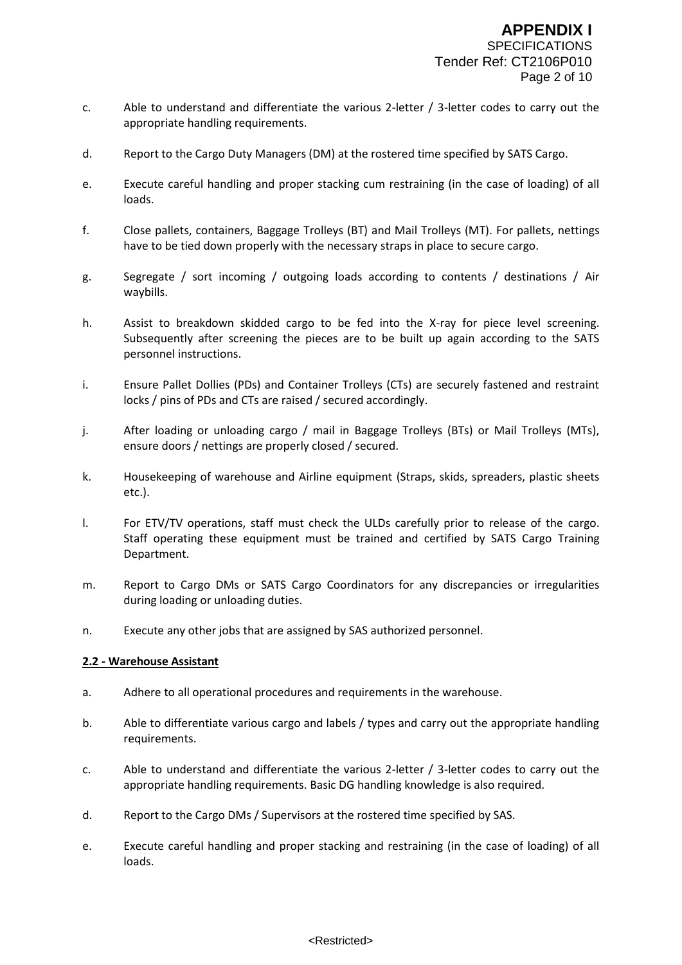- c. Able to understand and differentiate the various 2-letter / 3-letter codes to carry out the appropriate handling requirements.
- d. Report to the Cargo Duty Managers (DM) at the rostered time specified by SATS Cargo.
- e. Execute careful handling and proper stacking cum restraining (in the case of loading) of all loads.
- f. Close pallets, containers, Baggage Trolleys (BT) and Mail Trolleys (MT). For pallets, nettings have to be tied down properly with the necessary straps in place to secure cargo.
- g. Segregate / sort incoming / outgoing loads according to contents / destinations / Air waybills.
- h. Assist to breakdown skidded cargo to be fed into the X-ray for piece level screening. Subsequently after screening the pieces are to be built up again according to the SATS personnel instructions.
- i. Ensure Pallet Dollies (PDs) and Container Trolleys (CTs) are securely fastened and restraint locks / pins of PDs and CTs are raised / secured accordingly.
- j. After loading or unloading cargo / mail in Baggage Trolleys (BTs) or Mail Trolleys (MTs), ensure doors / nettings are properly closed / secured.
- k. Housekeeping of warehouse and Airline equipment (Straps, skids, spreaders, plastic sheets etc.).
- l. For ETV/TV operations, staff must check the ULDs carefully prior to release of the cargo. Staff operating these equipment must be trained and certified by SATS Cargo Training Department.
- m. Report to Cargo DMs or SATS Cargo Coordinators for any discrepancies or irregularities during loading or unloading duties.
- n. Execute any other jobs that are assigned by SAS authorized personnel.

#### **2.2 - Warehouse Assistant**

- a. Adhere to all operational procedures and requirements in the warehouse.
- b. Able to differentiate various cargo and labels / types and carry out the appropriate handling requirements.
- c. Able to understand and differentiate the various 2-letter / 3-letter codes to carry out the appropriate handling requirements. Basic DG handling knowledge is also required.
- d. Report to the Cargo DMs / Supervisors at the rostered time specified by SAS.
- e. Execute careful handling and proper stacking and restraining (in the case of loading) of all loads.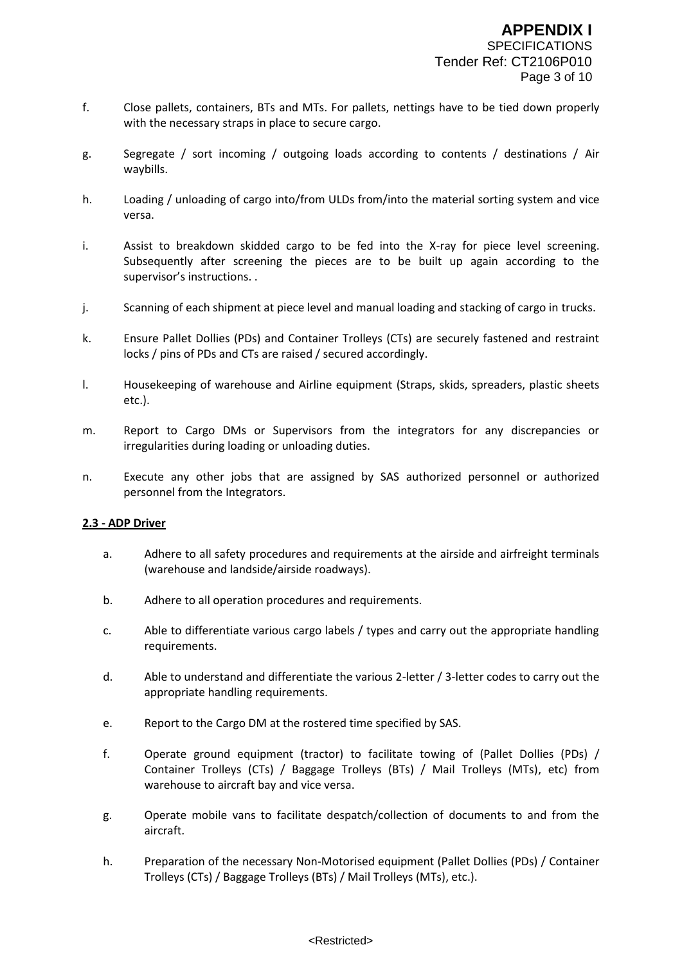- f. Close pallets, containers, BTs and MTs. For pallets, nettings have to be tied down properly with the necessary straps in place to secure cargo.
- g. Segregate / sort incoming / outgoing loads according to contents / destinations / Air waybills.
- h. Loading / unloading of cargo into/from ULDs from/into the material sorting system and vice versa.
- i. Assist to breakdown skidded cargo to be fed into the X-ray for piece level screening. Subsequently after screening the pieces are to be built up again according to the supervisor's instructions. .
- j. Scanning of each shipment at piece level and manual loading and stacking of cargo in trucks.
- k. Ensure Pallet Dollies (PDs) and Container Trolleys (CTs) are securely fastened and restraint locks / pins of PDs and CTs are raised / secured accordingly.
- l. Housekeeping of warehouse and Airline equipment (Straps, skids, spreaders, plastic sheets etc.).
- m. Report to Cargo DMs or Supervisors from the integrators for any discrepancies or irregularities during loading or unloading duties.
- n. Execute any other jobs that are assigned by SAS authorized personnel or authorized personnel from the Integrators.

#### **2.3 - ADP Driver**

- a. Adhere to all safety procedures and requirements at the airside and airfreight terminals (warehouse and landside/airside roadways).
- b. Adhere to all operation procedures and requirements.
- c. Able to differentiate various cargo labels / types and carry out the appropriate handling requirements.
- d. Able to understand and differentiate the various 2-letter / 3-letter codes to carry out the appropriate handling requirements.
- e. Report to the Cargo DM at the rostered time specified by SAS.
- f. Operate ground equipment (tractor) to facilitate towing of (Pallet Dollies (PDs) / Container Trolleys (CTs) / Baggage Trolleys (BTs) / Mail Trolleys (MTs), etc) from warehouse to aircraft bay and vice versa.
- g. Operate mobile vans to facilitate despatch/collection of documents to and from the aircraft.
- h. Preparation of the necessary Non-Motorised equipment (Pallet Dollies (PDs) / Container Trolleys (CTs) / Baggage Trolleys (BTs) / Mail Trolleys (MTs), etc.).

#### <Restricted>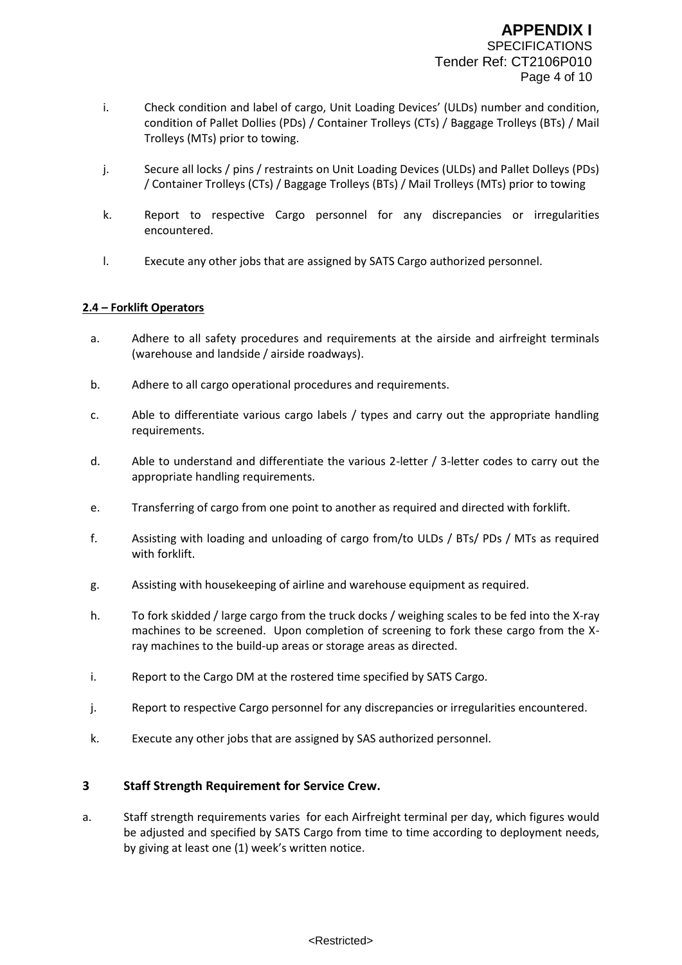- i. Check condition and label of cargo, Unit Loading Devices' (ULDs) number and condition, condition of Pallet Dollies (PDs) / Container Trolleys (CTs) / Baggage Trolleys (BTs) / Mail Trolleys (MTs) prior to towing.
- j. Secure all locks / pins / restraints on Unit Loading Devices (ULDs) and Pallet Dolleys (PDs) / Container Trolleys (CTs) / Baggage Trolleys (BTs) / Mail Trolleys (MTs) prior to towing
- k. Report to respective Cargo personnel for any discrepancies or irregularities encountered.
- l. Execute any other jobs that are assigned by SATS Cargo authorized personnel.

## **2.4 – Forklift Operators**

- a. Adhere to all safety procedures and requirements at the airside and airfreight terminals (warehouse and landside / airside roadways).
- b. Adhere to all cargo operational procedures and requirements.
- c. Able to differentiate various cargo labels / types and carry out the appropriate handling requirements.
- d. Able to understand and differentiate the various 2-letter / 3-letter codes to carry out the appropriate handling requirements.
- e. Transferring of cargo from one point to another as required and directed with forklift.
- f. Assisting with loading and unloading of cargo from/to ULDs / BTs/ PDs / MTs as required with forklift.
- g. Assisting with housekeeping of airline and warehouse equipment as required.
- h. To fork skidded / large cargo from the truck docks / weighing scales to be fed into the X-ray machines to be screened. Upon completion of screening to fork these cargo from the Xray machines to the build-up areas or storage areas as directed.
- i. Report to the Cargo DM at the rostered time specified by SATS Cargo.
- j. Report to respective Cargo personnel for any discrepancies or irregularities encountered.
- k. Execute any other jobs that are assigned by SAS authorized personnel.

## **3 Staff Strength Requirement for Service Crew.**

a. Staff strength requirements varies for each Airfreight terminal per day, which figures would be adjusted and specified by SATS Cargo from time to time according to deployment needs, by giving at least one (1) week's written notice.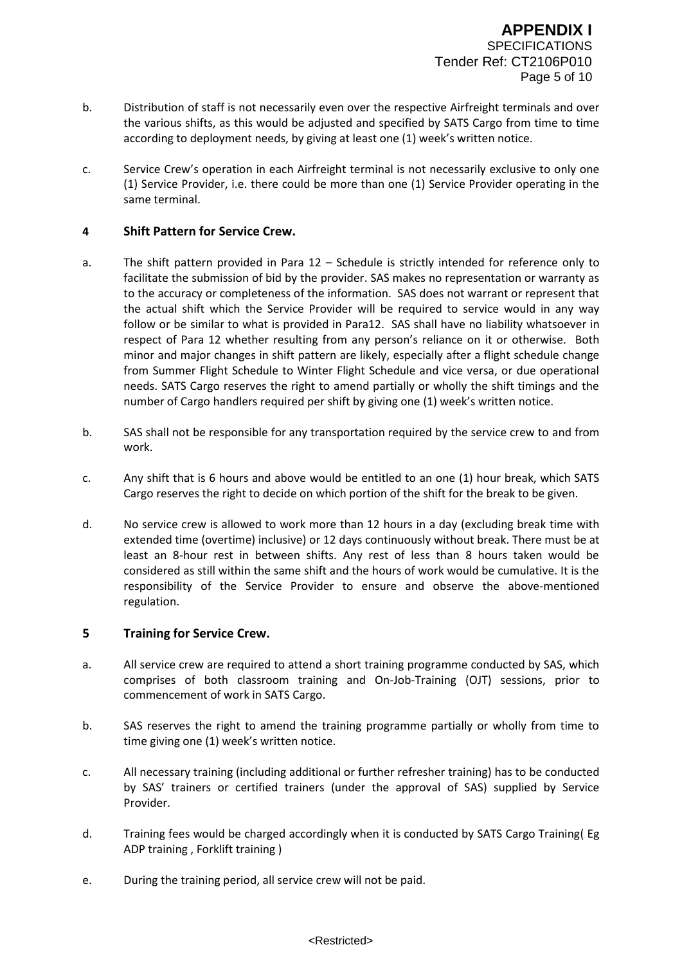- b. Distribution of staff is not necessarily even over the respective Airfreight terminals and over the various shifts, as this would be adjusted and specified by SATS Cargo from time to time according to deployment needs, by giving at least one (1) week's written notice.
- c. Service Crew's operation in each Airfreight terminal is not necessarily exclusive to only one (1) Service Provider, i.e. there could be more than one (1) Service Provider operating in the same terminal.

## **4 Shift Pattern for Service Crew.**

- a. The shift pattern provided in Para 12 Schedule is strictly intended for reference only to facilitate the submission of bid by the provider. SAS makes no representation or warranty as to the accuracy or completeness of the information. SAS does not warrant or represent that the actual shift which the Service Provider will be required to service would in any way follow or be similar to what is provided in Para12. SAS shall have no liability whatsoever in respect of Para 12 whether resulting from any person's reliance on it or otherwise. Both minor and major changes in shift pattern are likely, especially after a flight schedule change from Summer Flight Schedule to Winter Flight Schedule and vice versa, or due operational needs. SATS Cargo reserves the right to amend partially or wholly the shift timings and the number of Cargo handlers required per shift by giving one (1) week's written notice.
- b. SAS shall not be responsible for any transportation required by the service crew to and from work.
- c. Any shift that is 6 hours and above would be entitled to an one (1) hour break, which SATS Cargo reserves the right to decide on which portion of the shift for the break to be given.
- d. No service crew is allowed to work more than 12 hours in a day (excluding break time with extended time (overtime) inclusive) or 12 days continuously without break. There must be at least an 8-hour rest in between shifts. Any rest of less than 8 hours taken would be considered as still within the same shift and the hours of work would be cumulative. It is the responsibility of the Service Provider to ensure and observe the above-mentioned regulation.

## **5 Training for Service Crew.**

- a. All service crew are required to attend a short training programme conducted by SAS, which comprises of both classroom training and On-Job-Training (OJT) sessions, prior to commencement of work in SATS Cargo.
- b. SAS reserves the right to amend the training programme partially or wholly from time to time giving one (1) week's written notice.
- c. All necessary training (including additional or further refresher training) has to be conducted by SAS' trainers or certified trainers (under the approval of SAS) supplied by Service Provider.
- d. Training fees would be charged accordingly when it is conducted by SATS Cargo Training( Eg ADP training , Forklift training )
- e. During the training period, all service crew will not be paid.

#### <Restricted>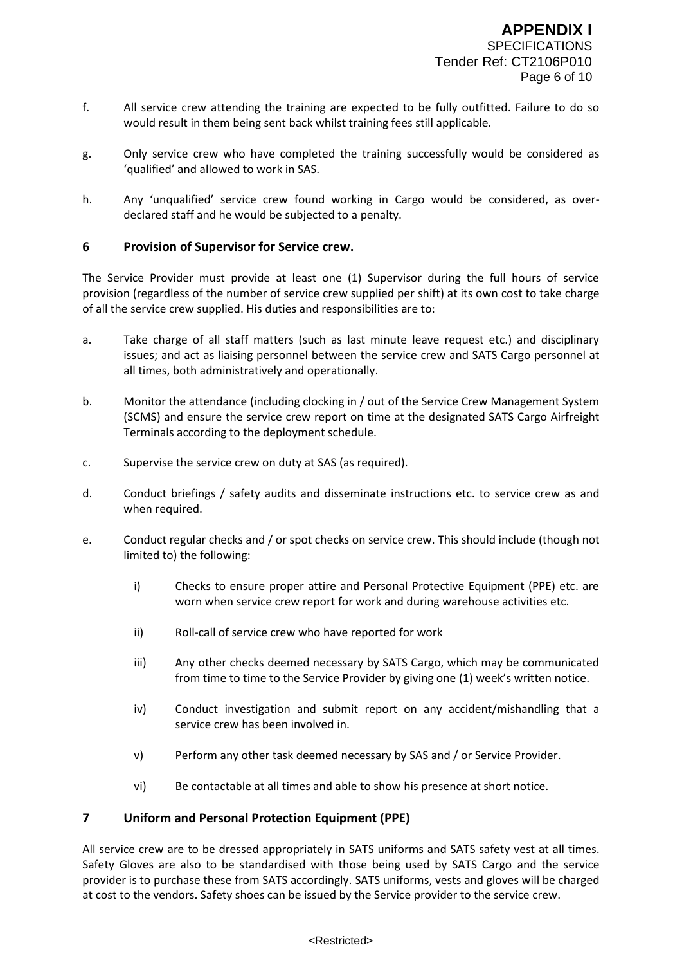- f. All service crew attending the training are expected to be fully outfitted. Failure to do so would result in them being sent back whilst training fees still applicable.
- g. Only service crew who have completed the training successfully would be considered as 'qualified' and allowed to work in SAS.
- h. Any 'unqualified' service crew found working in Cargo would be considered, as overdeclared staff and he would be subjected to a penalty.

## **6 Provision of Supervisor for Service crew.**

The Service Provider must provide at least one (1) Supervisor during the full hours of service provision (regardless of the number of service crew supplied per shift) at its own cost to take charge of all the service crew supplied. His duties and responsibilities are to:

- a. Take charge of all staff matters (such as last minute leave request etc.) and disciplinary issues; and act as liaising personnel between the service crew and SATS Cargo personnel at all times, both administratively and operationally.
- b. Monitor the attendance (including clocking in / out of the Service Crew Management System (SCMS) and ensure the service crew report on time at the designated SATS Cargo Airfreight Terminals according to the deployment schedule.
- c. Supervise the service crew on duty at SAS (as required).
- d. Conduct briefings / safety audits and disseminate instructions etc. to service crew as and when required.
- e. Conduct regular checks and / or spot checks on service crew. This should include (though not limited to) the following:
	- i) Checks to ensure proper attire and Personal Protective Equipment (PPE) etc. are worn when service crew report for work and during warehouse activities etc.
	- ii) Roll-call of service crew who have reported for work
	- iii) Any other checks deemed necessary by SATS Cargo, which may be communicated from time to time to the Service Provider by giving one (1) week's written notice.
	- iv) Conduct investigation and submit report on any accident/mishandling that a service crew has been involved in.
	- v) Perform any other task deemed necessary by SAS and / or Service Provider.
	- vi) Be contactable at all times and able to show his presence at short notice.

## **7 Uniform and Personal Protection Equipment (PPE)**

All service crew are to be dressed appropriately in SATS uniforms and SATS safety vest at all times. Safety Gloves are also to be standardised with those being used by SATS Cargo and the service provider is to purchase these from SATS accordingly. SATS uniforms, vests and gloves will be charged at cost to the vendors. Safety shoes can be issued by the Service provider to the service crew.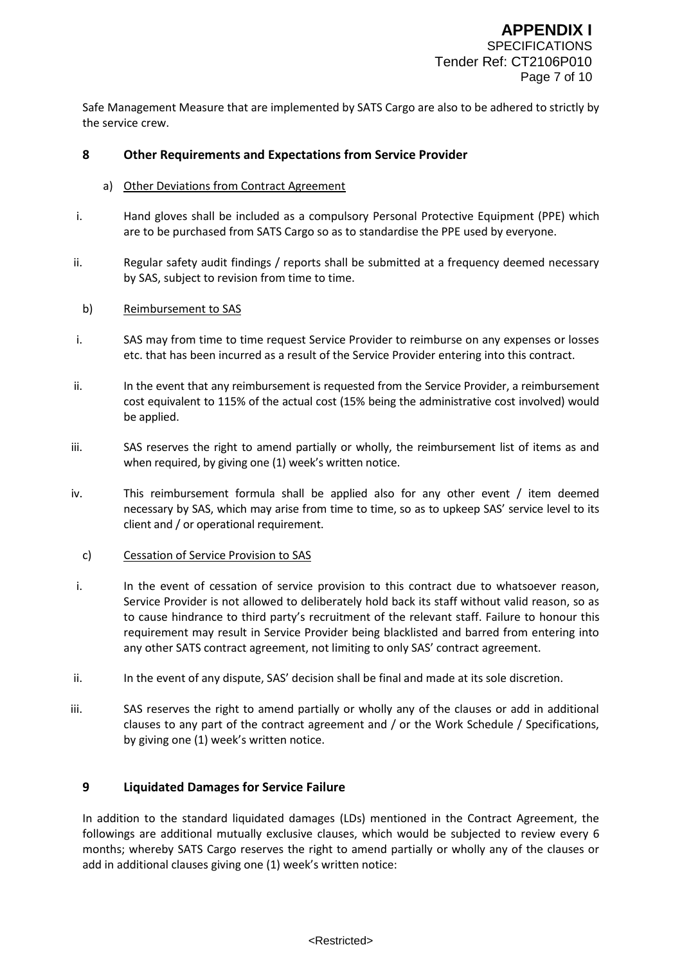Safe Management Measure that are implemented by SATS Cargo are also to be adhered to strictly by the service crew.

## **8 Other Requirements and Expectations from Service Provider**

#### a) Other Deviations from Contract Agreement

- i. Hand gloves shall be included as a compulsory Personal Protective Equipment (PPE) which are to be purchased from SATS Cargo so as to standardise the PPE used by everyone.
- ii. Regular safety audit findings / reports shall be submitted at a frequency deemed necessary by SAS, subject to revision from time to time.

#### b) Reimbursement to SAS

- i. SAS may from time to time request Service Provider to reimburse on any expenses or losses etc. that has been incurred as a result of the Service Provider entering into this contract.
- ii. In the event that any reimbursement is requested from the Service Provider, a reimbursement cost equivalent to 115% of the actual cost (15% being the administrative cost involved) would be applied.
- iii. SAS reserves the right to amend partially or wholly, the reimbursement list of items as and when required, by giving one (1) week's written notice.
- iv. This reimbursement formula shall be applied also for any other event / item deemed necessary by SAS, which may arise from time to time, so as to upkeep SAS' service level to its client and / or operational requirement.

#### c) Cessation of Service Provision to SAS

- i. In the event of cessation of service provision to this contract due to whatsoever reason, Service Provider is not allowed to deliberately hold back its staff without valid reason, so as to cause hindrance to third party's recruitment of the relevant staff. Failure to honour this requirement may result in Service Provider being blacklisted and barred from entering into any other SATS contract agreement, not limiting to only SAS' contract agreement.
- ii. In the event of any dispute, SAS' decision shall be final and made at its sole discretion.
- iii. SAS reserves the right to amend partially or wholly any of the clauses or add in additional clauses to any part of the contract agreement and / or the Work Schedule / Specifications, by giving one (1) week's written notice.

## **9 Liquidated Damages for Service Failure**

In addition to the standard liquidated damages (LDs) mentioned in the Contract Agreement, the followings are additional mutually exclusive clauses, which would be subjected to review every 6 months; whereby SATS Cargo reserves the right to amend partially or wholly any of the clauses or add in additional clauses giving one (1) week's written notice: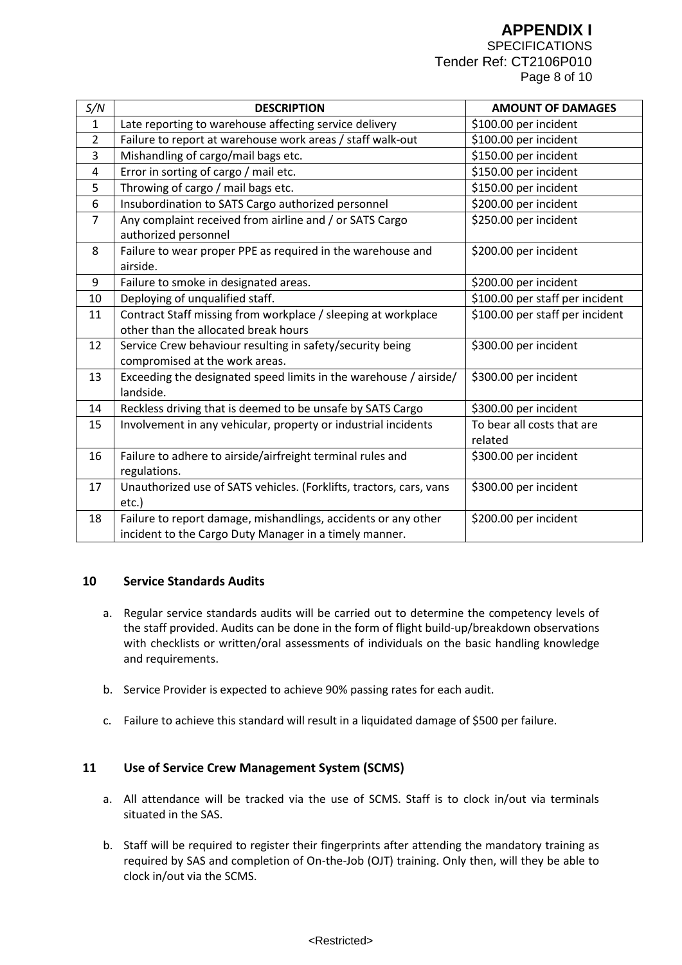# **APPENDIX I**

**SPECIFICATIONS** Tender Ref: CT2106P010 Page 8 of 10

| S/N            | <b>DESCRIPTION</b>                                                              | <b>AMOUNT OF DAMAGES</b>        |
|----------------|---------------------------------------------------------------------------------|---------------------------------|
| $\mathbf{1}$   | Late reporting to warehouse affecting service delivery                          | \$100.00 per incident           |
| $\overline{2}$ | Failure to report at warehouse work areas / staff walk-out                      | \$100.00 per incident           |
| 3              | Mishandling of cargo/mail bags etc.                                             | \$150.00 per incident           |
| 4              | Error in sorting of cargo / mail etc.                                           | \$150.00 per incident           |
| 5              | Throwing of cargo / mail bags etc.                                              | \$150.00 per incident           |
| 6              | Insubordination to SATS Cargo authorized personnel                              | \$200.00 per incident           |
| $\overline{7}$ | Any complaint received from airline and / or SATS Cargo<br>authorized personnel | \$250.00 per incident           |
| 8              | Failure to wear proper PPE as required in the warehouse and<br>airside.         | \$200.00 per incident           |
| 9              | Failure to smoke in designated areas.                                           | \$200.00 per incident           |
| 10             | Deploying of unqualified staff.                                                 | \$100.00 per staff per incident |
| 11             | Contract Staff missing from workplace / sleeping at workplace                   | \$100.00 per staff per incident |
|                | other than the allocated break hours                                            |                                 |
| 12             | Service Crew behaviour resulting in safety/security being                       | \$300.00 per incident           |
|                | compromised at the work areas.                                                  |                                 |
| 13             | Exceeding the designated speed limits in the warehouse / airside/               | \$300.00 per incident           |
|                | landside.                                                                       |                                 |
| 14             | Reckless driving that is deemed to be unsafe by SATS Cargo                      | \$300.00 per incident           |
| 15             | Involvement in any vehicular, property or industrial incidents                  | To bear all costs that are      |
|                |                                                                                 | related                         |
| 16             | Failure to adhere to airside/airfreight terminal rules and                      | \$300.00 per incident           |
|                | regulations.                                                                    |                                 |
| 17             | Unauthorized use of SATS vehicles. (Forklifts, tractors, cars, vans<br>etc.)    | \$300.00 per incident           |
| 18             | Failure to report damage, mishandlings, accidents or any other                  | \$200.00 per incident           |
|                | incident to the Cargo Duty Manager in a timely manner.                          |                                 |

#### **10 Service Standards Audits**

- a. Regular service standards audits will be carried out to determine the competency levels of the staff provided. Audits can be done in the form of flight build-up/breakdown observations with checklists or written/oral assessments of individuals on the basic handling knowledge and requirements.
- b. Service Provider is expected to achieve 90% passing rates for each audit.
- c. Failure to achieve this standard will result in a liquidated damage of \$500 per failure.

## **11 Use of Service Crew Management System (SCMS)**

- a. All attendance will be tracked via the use of SCMS. Staff is to clock in/out via terminals situated in the SAS.
- b. Staff will be required to register their fingerprints after attending the mandatory training as required by SAS and completion of On-the-Job (OJT) training. Only then, will they be able to clock in/out via the SCMS.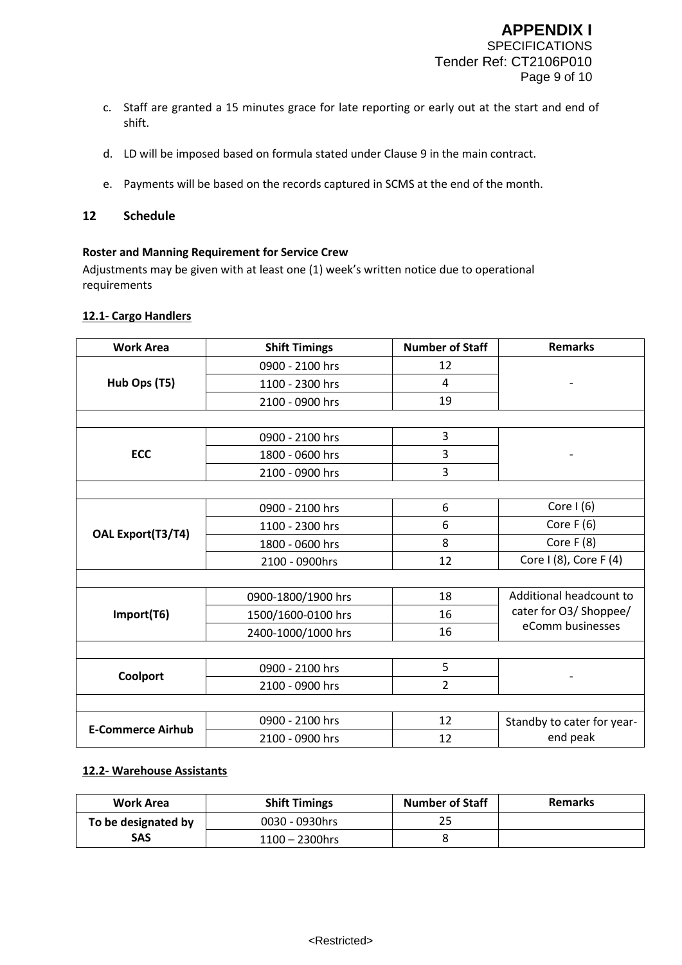- c. Staff are granted a 15 minutes grace for late reporting or early out at the start and end of shift.
- d. LD will be imposed based on formula stated under Clause 9 in the main contract.
- e. Payments will be based on the records captured in SCMS at the end of the month.

#### **12 Schedule**

## **Roster and Manning Requirement for Service Crew**

Adjustments may be given with at least one (1) week's written notice due to operational requirements

#### **12.1- Cargo Handlers**

| <b>Work Area</b>         | <b>Shift Timings</b> | <b>Number of Staff</b> | <b>Remarks</b>                             |  |
|--------------------------|----------------------|------------------------|--------------------------------------------|--|
|                          | 0900 - 2100 hrs      | 12                     |                                            |  |
| Hub Ops (T5)             | 1100 - 2300 hrs      | $\overline{4}$         |                                            |  |
|                          | 2100 - 0900 hrs      | 19                     |                                            |  |
|                          |                      |                        |                                            |  |
|                          | 0900 - 2100 hrs      | 3                      |                                            |  |
| ECC                      | 1800 - 0600 hrs      | 3                      |                                            |  |
|                          | 2100 - 0900 hrs      | 3                      |                                            |  |
|                          |                      |                        |                                            |  |
|                          | 0900 - 2100 hrs      | 6                      | Core $1(6)$                                |  |
|                          | 1100 - 2300 hrs      | 6                      | Core $F(6)$                                |  |
| OAL Export(T3/T4)        | 1800 - 0600 hrs      | 8                      | Core F (8)                                 |  |
|                          | 2100 - 0900hrs       | 12                     | Core I (8), Core F (4)                     |  |
|                          |                      |                        |                                            |  |
|                          | 0900-1800/1900 hrs   | 18                     | Additional headcount to                    |  |
| Import(T6)               | 1500/1600-0100 hrs   | 16                     | cater for O3/ Shoppee/<br>eComm businesses |  |
|                          | 2400-1000/1000 hrs   | 16                     |                                            |  |
|                          |                      |                        |                                            |  |
|                          | 0900 - 2100 hrs      | 5                      |                                            |  |
| <b>Coolport</b>          | 2100 - 0900 hrs      | $\overline{2}$         |                                            |  |
|                          |                      |                        |                                            |  |
| <b>E-Commerce Airhub</b> | 0900 - 2100 hrs      | 12                     | Standby to cater for year-                 |  |
|                          | 2100 - 0900 hrs      | 12                     | end peak                                   |  |

## **12.2- Warehouse Assistants**

| Work Area           | <b>Shift Timings</b> | <b>Number of Staff</b> | Remarks |
|---------------------|----------------------|------------------------|---------|
| To be designated by | 0030 - 0930hrs       | 25                     |         |
| SAS                 | $1100 - 2300$ hrs    |                        |         |